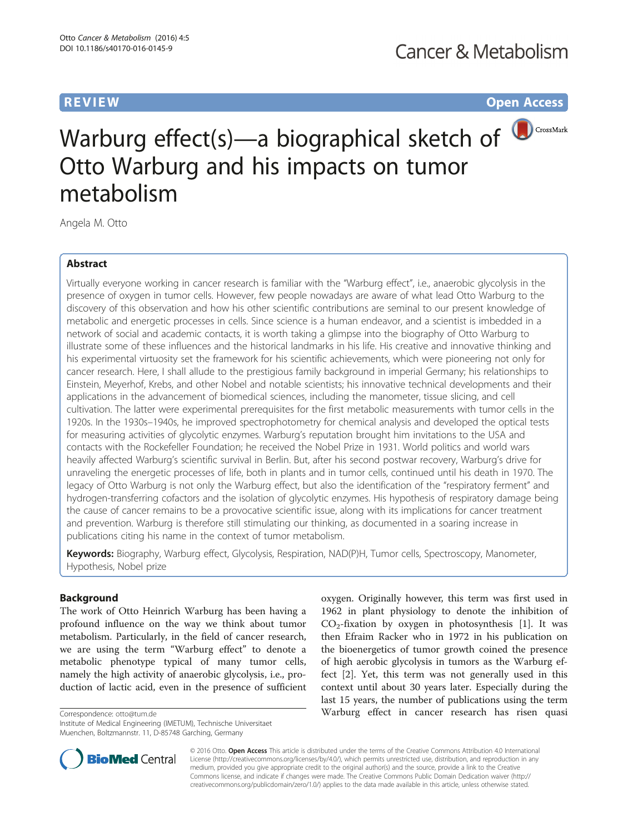**REVIEW CONSTRUCTION CONSTRUCTION CONSTRUCTS** 



# Warburg effect(s)—a biographical sketch of **D**CrossMark Otto Warburg and his impacts on tumor metabolism

Angela M. Otto

# Abstract

Virtually everyone working in cancer research is familiar with the "Warburg effect", i.e., anaerobic glycolysis in the presence of oxygen in tumor cells. However, few people nowadays are aware of what lead Otto Warburg to the discovery of this observation and how his other scientific contributions are seminal to our present knowledge of metabolic and energetic processes in cells. Since science is a human endeavor, and a scientist is imbedded in a network of social and academic contacts, it is worth taking a glimpse into the biography of Otto Warburg to illustrate some of these influences and the historical landmarks in his life. His creative and innovative thinking and his experimental virtuosity set the framework for his scientific achievements, which were pioneering not only for cancer research. Here, I shall allude to the prestigious family background in imperial Germany; his relationships to Einstein, Meyerhof, Krebs, and other Nobel and notable scientists; his innovative technical developments and their applications in the advancement of biomedical sciences, including the manometer, tissue slicing, and cell cultivation. The latter were experimental prerequisites for the first metabolic measurements with tumor cells in the 1920s. In the 1930s–1940s, he improved spectrophotometry for chemical analysis and developed the optical tests for measuring activities of glycolytic enzymes. Warburg's reputation brought him invitations to the USA and contacts with the Rockefeller Foundation; he received the Nobel Prize in 1931. World politics and world wars heavily affected Warburg's scientific survival in Berlin. But, after his second postwar recovery, Warburg's drive for unraveling the energetic processes of life, both in plants and in tumor cells, continued until his death in 1970. The legacy of Otto Warburg is not only the Warburg effect, but also the identification of the "respiratory ferment" and hydrogen-transferring cofactors and the isolation of glycolytic enzymes. His hypothesis of respiratory damage being the cause of cancer remains to be a provocative scientific issue, along with its implications for cancer treatment and prevention. Warburg is therefore still stimulating our thinking, as documented in a soaring increase in publications citing his name in the context of tumor metabolism.

Keywords: Biography, Warburg effect, Glycolysis, Respiration, NAD(P)H, Tumor cells, Spectroscopy, Manometer, Hypothesis, Nobel prize

# Background

The work of Otto Heinrich Warburg has been having a profound influence on the way we think about tumor metabolism. Particularly, in the field of cancer research, we are using the term "Warburg effect" to denote a metabolic phenotype typical of many tumor cells, namely the high activity of anaerobic glycolysis, i.e., production of lactic acid, even in the presence of sufficient

**BioMed Central** 

Institute of Medical Engineering (IMETUM), Technische Universitaet Muenchen, Boltzmannstr. 11, D-85748 Garching, Germany



© 2016 Otto. Open Access This article is distributed under the terms of the Creative Commons Attribution 4.0 International License ([http://creativecommons.org/licenses/by/4.0/\)](http://creativecommons.org/licenses/by/4.0/), which permits unrestricted use, distribution, and reproduction in any medium, provided you give appropriate credit to the original author(s) and the source, provide a link to the Creative Commons license, and indicate if changes were made. The Creative Commons Public Domain Dedication waiver ([http://](http://creativecommons.org/publicdomain/zero/1.0/) [creativecommons.org/publicdomain/zero/1.0/\)](http://creativecommons.org/publicdomain/zero/1.0/) applies to the data made available in this article, unless otherwise stated.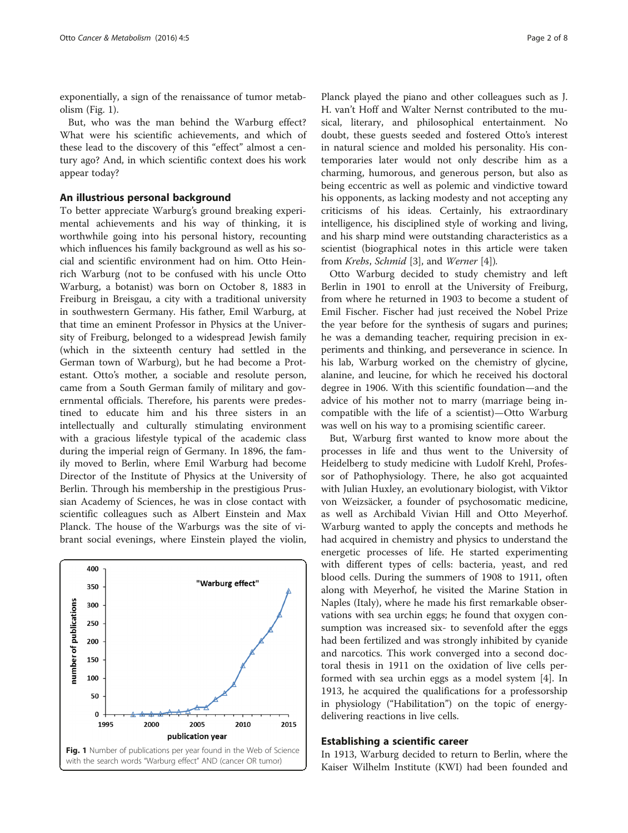exponentially, a sign of the renaissance of tumor metabolism (Fig. 1).

But, who was the man behind the Warburg effect? What were his scientific achievements, and which of these lead to the discovery of this "effect" almost a century ago? And, in which scientific context does his work appear today?

#### An illustrious personal background

To better appreciate Warburg's ground breaking experimental achievements and his way of thinking, it is worthwhile going into his personal history, recounting which influences his family background as well as his social and scientific environment had on him. Otto Heinrich Warburg (not to be confused with his uncle Otto Warburg, a botanist) was born on October 8, 1883 in Freiburg in Breisgau, a city with a traditional university in southwestern Germany. His father, Emil Warburg, at that time an eminent Professor in Physics at the University of Freiburg, belonged to a widespread Jewish family (which in the sixteenth century had settled in the German town of Warburg), but he had become a Protestant. Otto's mother, a sociable and resolute person, came from a South German family of military and governmental officials. Therefore, his parents were predestined to educate him and his three sisters in an intellectually and culturally stimulating environment with a gracious lifestyle typical of the academic class during the imperial reign of Germany. In 1896, the family moved to Berlin, where Emil Warburg had become Director of the Institute of Physics at the University of Berlin. Through his membership in the prestigious Prussian Academy of Sciences, he was in close contact with scientific colleagues such as Albert Einstein and Max Planck. The house of the Warburgs was the site of vibrant social evenings, where Einstein played the violin,



Planck played the piano and other colleagues such as J. H. van't Hoff and Walter Nernst contributed to the musical, literary, and philosophical entertainment. No doubt, these guests seeded and fostered Otto's interest in natural science and molded his personality. His contemporaries later would not only describe him as a charming, humorous, and generous person, but also as being eccentric as well as polemic and vindictive toward his opponents, as lacking modesty and not accepting any criticisms of his ideas. Certainly, his extraordinary intelligence, his disciplined style of working and living, and his sharp mind were outstanding characteristics as a scientist (biographical notes in this article were taken from Krebs, Schmid [[3\]](#page-7-0), and Werner [\[4\]](#page-7-0)).

Otto Warburg decided to study chemistry and left Berlin in 1901 to enroll at the University of Freiburg, from where he returned in 1903 to become a student of Emil Fischer. Fischer had just received the Nobel Prize the year before for the synthesis of sugars and purines; he was a demanding teacher, requiring precision in experiments and thinking, and perseverance in science. In his lab, Warburg worked on the chemistry of glycine, alanine, and leucine, for which he received his doctoral degree in 1906. With this scientific foundation—and the advice of his mother not to marry (marriage being incompatible with the life of a scientist)—Otto Warburg was well on his way to a promising scientific career.

But, Warburg first wanted to know more about the processes in life and thus went to the University of Heidelberg to study medicine with Ludolf Krehl, Professor of Pathophysiology. There, he also got acquainted with Julian Huxley, an evolutionary biologist, with Viktor von Weizsäcker, a founder of psychosomatic medicine, as well as Archibald Vivian Hill and Otto Meyerhof. Warburg wanted to apply the concepts and methods he had acquired in chemistry and physics to understand the energetic processes of life. He started experimenting with different types of cells: bacteria, yeast, and red blood cells. During the summers of 1908 to 1911, often along with Meyerhof, he visited the Marine Station in Naples (Italy), where he made his first remarkable observations with sea urchin eggs; he found that oxygen consumption was increased six- to sevenfold after the eggs had been fertilized and was strongly inhibited by cyanide and narcotics. This work converged into a second doctoral thesis in 1911 on the oxidation of live cells performed with sea urchin eggs as a model system [[4](#page-7-0)]. In 1913, he acquired the qualifications for a professorship in physiology ("Habilitation") on the topic of energydelivering reactions in live cells.

# Establishing a scientific career

In 1913, Warburg decided to return to Berlin, where the Kaiser Wilhelm Institute (KWI) had been founded and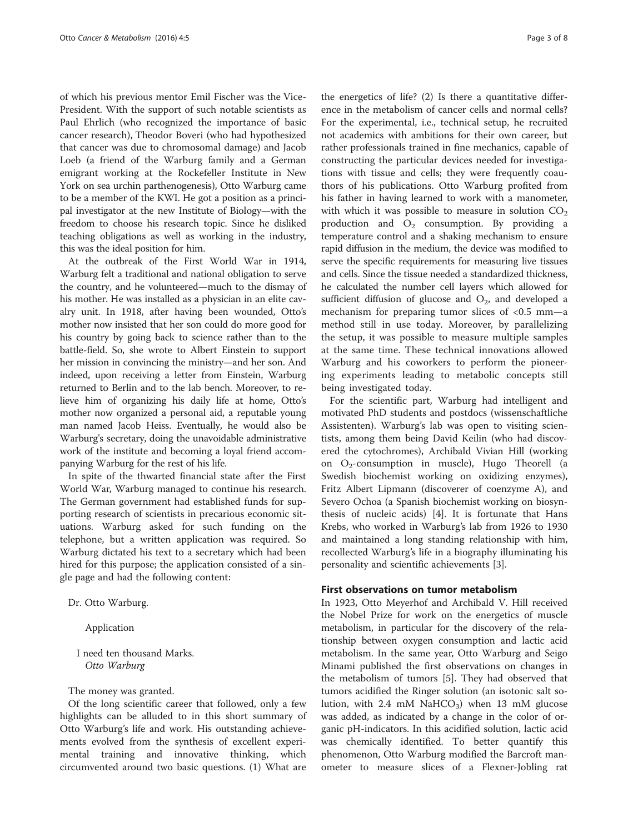of which his previous mentor Emil Fischer was the Vice-President. With the support of such notable scientists as Paul Ehrlich (who recognized the importance of basic cancer research), Theodor Boveri (who had hypothesized that cancer was due to chromosomal damage) and Jacob Loeb (a friend of the Warburg family and a German emigrant working at the Rockefeller Institute in New York on sea urchin parthenogenesis), Otto Warburg came to be a member of the KWI. He got a position as a principal investigator at the new Institute of Biology—with the freedom to choose his research topic. Since he disliked teaching obligations as well as working in the industry, this was the ideal position for him.

At the outbreak of the First World War in 1914, Warburg felt a traditional and national obligation to serve the country, and he volunteered—much to the dismay of his mother. He was installed as a physician in an elite cavalry unit. In 1918, after having been wounded, Otto's mother now insisted that her son could do more good for his country by going back to science rather than to the battle-field. So, she wrote to Albert Einstein to support her mission in convincing the ministry—and her son. And indeed, upon receiving a letter from Einstein, Warburg returned to Berlin and to the lab bench. Moreover, to relieve him of organizing his daily life at home, Otto's mother now organized a personal aid, a reputable young man named Jacob Heiss. Eventually, he would also be Warburg's secretary, doing the unavoidable administrative work of the institute and becoming a loyal friend accompanying Warburg for the rest of his life.

In spite of the thwarted financial state after the First World War, Warburg managed to continue his research. The German government had established funds for supporting research of scientists in precarious economic situations. Warburg asked for such funding on the telephone, but a written application was required. So Warburg dictated his text to a secretary which had been hired for this purpose; the application consisted of a single page and had the following content:

Dr. Otto Warburg.

Application

I need ten thousand Marks. Otto Warburg

The money was granted.

Of the long scientific career that followed, only a few highlights can be alluded to in this short summary of Otto Warburg's life and work. His outstanding achievements evolved from the synthesis of excellent experimental training and innovative thinking, which circumvented around two basic questions. (1) What are

the energetics of life? (2) Is there a quantitative difference in the metabolism of cancer cells and normal cells? For the experimental, i.e., technical setup, he recruited not academics with ambitions for their own career, but rather professionals trained in fine mechanics, capable of constructing the particular devices needed for investigations with tissue and cells; they were frequently coauthors of his publications. Otto Warburg profited from his father in having learned to work with a manometer, with which it was possible to measure in solution  $CO<sub>2</sub>$ production and  $O_2$  consumption. By providing a temperature control and a shaking mechanism to ensure rapid diffusion in the medium, the device was modified to serve the specific requirements for measuring live tissues and cells. Since the tissue needed a standardized thickness, he calculated the number cell layers which allowed for sufficient diffusion of glucose and  $O<sub>2</sub>$ , and developed a mechanism for preparing tumor slices of <0.5 mm—a method still in use today. Moreover, by parallelizing the setup, it was possible to measure multiple samples at the same time. These technical innovations allowed Warburg and his coworkers to perform the pioneering experiments leading to metabolic concepts still being investigated today.

For the scientific part, Warburg had intelligent and motivated PhD students and postdocs (wissenschaftliche Assistenten). Warburg's lab was open to visiting scientists, among them being David Keilin (who had discovered the cytochromes), Archibald Vivian Hill (working on  $O_2$ -consumption in muscle), Hugo Theorell (a Swedish biochemist working on oxidizing enzymes), Fritz Albert Lipmann (discoverer of coenzyme A), and Severo Ochoa (a Spanish biochemist working on biosynthesis of nucleic acids) [\[4](#page-7-0)]. It is fortunate that Hans Krebs, who worked in Warburg's lab from 1926 to 1930 and maintained a long standing relationship with him, recollected Warburg's life in a biography illuminating his personality and scientific achievements [[3](#page-7-0)].

## First observations on tumor metabolism

In 1923, Otto Meyerhof and Archibald V. Hill received the Nobel Prize for work on the energetics of muscle metabolism, in particular for the discovery of the relationship between oxygen consumption and lactic acid metabolism. In the same year, Otto Warburg and Seigo Minami published the first observations on changes in the metabolism of tumors [[5\]](#page-7-0). They had observed that tumors acidified the Ringer solution (an isotonic salt solution, with 2.4 mM NaHCO<sub>3</sub>) when 13 mM glucose was added, as indicated by a change in the color of organic pH-indicators. In this acidified solution, lactic acid was chemically identified. To better quantify this phenomenon, Otto Warburg modified the Barcroft manometer to measure slices of a Flexner-Jobling rat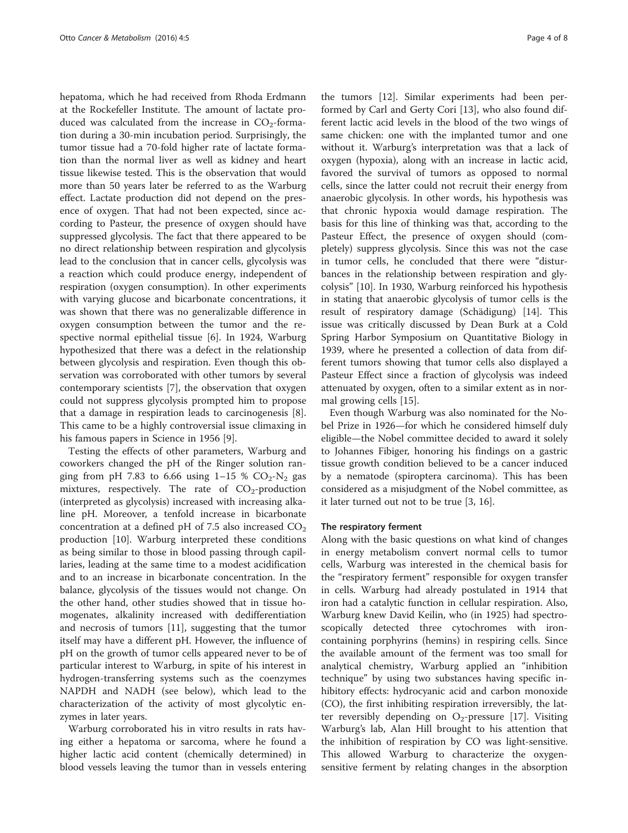hepatoma, which he had received from Rhoda Erdmann at the Rockefeller Institute. The amount of lactate produced was calculated from the increase in  $CO<sub>2</sub>$ -formation during a 30-min incubation period. Surprisingly, the tumor tissue had a 70-fold higher rate of lactate formation than the normal liver as well as kidney and heart tissue likewise tested. This is the observation that would more than 50 years later be referred to as the Warburg effect. Lactate production did not depend on the presence of oxygen. That had not been expected, since according to Pasteur, the presence of oxygen should have suppressed glycolysis. The fact that there appeared to be no direct relationship between respiration and glycolysis lead to the conclusion that in cancer cells, glycolysis was a reaction which could produce energy, independent of respiration (oxygen consumption). In other experiments with varying glucose and bicarbonate concentrations, it was shown that there was no generalizable difference in oxygen consumption between the tumor and the respective normal epithelial tissue [[6\]](#page-7-0). In 1924, Warburg hypothesized that there was a defect in the relationship between glycolysis and respiration. Even though this observation was corroborated with other tumors by several contemporary scientists [\[7](#page-7-0)], the observation that oxygen could not suppress glycolysis prompted him to propose that a damage in respiration leads to carcinogenesis [\[8](#page-7-0)]. This came to be a highly controversial issue climaxing in his famous papers in Science in 1956 [[9\]](#page-7-0).

Testing the effects of other parameters, Warburg and coworkers changed the pH of the Ringer solution ranging from pH 7.83 to 6.66 using  $1-15$  %  $CO_2-N_2$  gas mixtures, respectively. The rate of  $CO_2$ -production (interpreted as glycolysis) increased with increasing alkaline pH. Moreover, a tenfold increase in bicarbonate concentration at a defined pH of 7.5 also increased  $CO<sub>2</sub>$ production [[10\]](#page-7-0). Warburg interpreted these conditions as being similar to those in blood passing through capillaries, leading at the same time to a modest acidification and to an increase in bicarbonate concentration. In the balance, glycolysis of the tissues would not change. On the other hand, other studies showed that in tissue homogenates, alkalinity increased with dedifferentiation and necrosis of tumors [[11\]](#page-7-0), suggesting that the tumor itself may have a different pH. However, the influence of pH on the growth of tumor cells appeared never to be of particular interest to Warburg, in spite of his interest in hydrogen-transferring systems such as the coenzymes NAPDH and NADH (see below), which lead to the characterization of the activity of most glycolytic enzymes in later years.

Warburg corroborated his in vitro results in rats having either a hepatoma or sarcoma, where he found a higher lactic acid content (chemically determined) in blood vessels leaving the tumor than in vessels entering

the tumors [\[12](#page-7-0)]. Similar experiments had been performed by Carl and Gerty Cori [\[13](#page-7-0)], who also found different lactic acid levels in the blood of the two wings of same chicken: one with the implanted tumor and one without it. Warburg's interpretation was that a lack of oxygen (hypoxia), along with an increase in lactic acid, favored the survival of tumors as opposed to normal cells, since the latter could not recruit their energy from anaerobic glycolysis. In other words, his hypothesis was that chronic hypoxia would damage respiration. The basis for this line of thinking was that, according to the Pasteur Effect, the presence of oxygen should (completely) suppress glycolysis. Since this was not the case in tumor cells, he concluded that there were "disturbances in the relationship between respiration and glycolysis" [\[10\]](#page-7-0). In 1930, Warburg reinforced his hypothesis in stating that anaerobic glycolysis of tumor cells is the result of respiratory damage (Schädigung) [\[14\]](#page-7-0). This issue was critically discussed by Dean Burk at a Cold Spring Harbor Symposium on Quantitative Biology in 1939, where he presented a collection of data from different tumors showing that tumor cells also displayed a Pasteur Effect since a fraction of glycolysis was indeed attenuated by oxygen, often to a similar extent as in normal growing cells [[15](#page-7-0)].

Even though Warburg was also nominated for the Nobel Prize in 1926—for which he considered himself duly eligible—the Nobel committee decided to award it solely to Johannes Fibiger, honoring his findings on a gastric tissue growth condition believed to be a cancer induced by a nematode (spiroptera carcinoma). This has been considered as a misjudgment of the Nobel committee, as it later turned out not to be true [\[3](#page-7-0), [16](#page-7-0)].

#### The respiratory ferment

Along with the basic questions on what kind of changes in energy metabolism convert normal cells to tumor cells, Warburg was interested in the chemical basis for the "respiratory ferment" responsible for oxygen transfer in cells. Warburg had already postulated in 1914 that iron had a catalytic function in cellular respiration. Also, Warburg knew David Keilin, who (in 1925) had spectroscopically detected three cytochromes with ironcontaining porphyrins (hemins) in respiring cells. Since the available amount of the ferment was too small for analytical chemistry, Warburg applied an "inhibition technique" by using two substances having specific inhibitory effects: hydrocyanic acid and carbon monoxide (CO), the first inhibiting respiration irreversibly, the latter reversibly depending on  $O_2$ -pressure [[17\]](#page-7-0). Visiting Warburg's lab, Alan Hill brought to his attention that the inhibition of respiration by CO was light-sensitive. This allowed Warburg to characterize the oxygensensitive ferment by relating changes in the absorption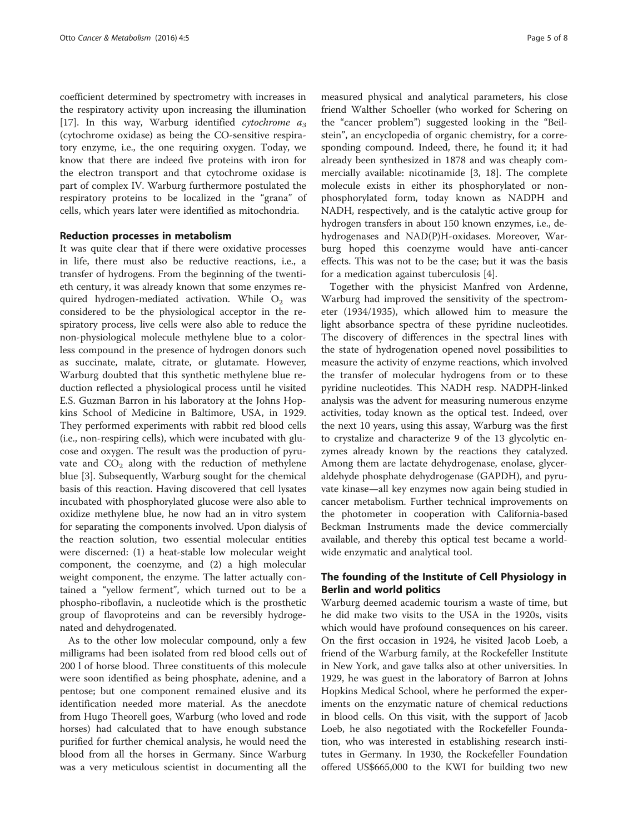coefficient determined by spectrometry with increases in the respiratory activity upon increasing the illumination [[17\]](#page-7-0). In this way, Warburg identified cytochrome  $a_3$ (cytochrome oxidase) as being the CO-sensitive respiratory enzyme, i.e., the one requiring oxygen. Today, we know that there are indeed five proteins with iron for the electron transport and that cytochrome oxidase is part of complex IV. Warburg furthermore postulated the respiratory proteins to be localized in the "grana" of cells, which years later were identified as mitochondria.

## Reduction processes in metabolism

It was quite clear that if there were oxidative processes in life, there must also be reductive reactions, i.e., a transfer of hydrogens. From the beginning of the twentieth century, it was already known that some enzymes required hydrogen-mediated activation. While  $O<sub>2</sub>$  was considered to be the physiological acceptor in the respiratory process, live cells were also able to reduce the non-physiological molecule methylene blue to a colorless compound in the presence of hydrogen donors such as succinate, malate, citrate, or glutamate. However, Warburg doubted that this synthetic methylene blue reduction reflected a physiological process until he visited E.S. Guzman Barron in his laboratory at the Johns Hopkins School of Medicine in Baltimore, USA, in 1929. They performed experiments with rabbit red blood cells (i.e., non-respiring cells), which were incubated with glucose and oxygen. The result was the production of pyruvate and  $CO<sub>2</sub>$  along with the reduction of methylene blue [\[3](#page-7-0)]. Subsequently, Warburg sought for the chemical basis of this reaction. Having discovered that cell lysates incubated with phosphorylated glucose were also able to oxidize methylene blue, he now had an in vitro system for separating the components involved. Upon dialysis of the reaction solution, two essential molecular entities were discerned: (1) a heat-stable low molecular weight component, the coenzyme, and (2) a high molecular weight component, the enzyme. The latter actually contained a "yellow ferment", which turned out to be a phospho-riboflavin, a nucleotide which is the prosthetic group of flavoproteins and can be reversibly hydrogenated and dehydrogenated.

As to the other low molecular compound, only a few milligrams had been isolated from red blood cells out of 200 l of horse blood. Three constituents of this molecule were soon identified as being phosphate, adenine, and a pentose; but one component remained elusive and its identification needed more material. As the anecdote from Hugo Theorell goes, Warburg (who loved and rode horses) had calculated that to have enough substance purified for further chemical analysis, he would need the blood from all the horses in Germany. Since Warburg was a very meticulous scientist in documenting all the

measured physical and analytical parameters, his close friend Walther Schoeller (who worked for Schering on the "cancer problem") suggested looking in the "Beilstein", an encyclopedia of organic chemistry, for a corresponding compound. Indeed, there, he found it; it had already been synthesized in 1878 and was cheaply commercially available: nicotinamide [[3, 18](#page-7-0)]. The complete molecule exists in either its phosphorylated or nonphosphorylated form, today known as NADPH and NADH, respectively, and is the catalytic active group for hydrogen transfers in about 150 known enzymes, i.e., dehydrogenases and NAD(P)H-oxidases. Moreover, Warburg hoped this coenzyme would have anti-cancer effects. This was not to be the case; but it was the basis for a medication against tuberculosis [[4\]](#page-7-0).

Together with the physicist Manfred von Ardenne, Warburg had improved the sensitivity of the spectrometer (1934/1935), which allowed him to measure the light absorbance spectra of these pyridine nucleotides. The discovery of differences in the spectral lines with the state of hydrogenation opened novel possibilities to measure the activity of enzyme reactions, which involved the transfer of molecular hydrogens from or to these pyridine nucleotides. This NADH resp. NADPH-linked analysis was the advent for measuring numerous enzyme activities, today known as the optical test. Indeed, over the next 10 years, using this assay, Warburg was the first to crystalize and characterize 9 of the 13 glycolytic enzymes already known by the reactions they catalyzed. Among them are lactate dehydrogenase, enolase, glyceraldehyde phosphate dehydrogenase (GAPDH), and pyruvate kinase—all key enzymes now again being studied in cancer metabolism. Further technical improvements on the photometer in cooperation with California-based Beckman Instruments made the device commercially available, and thereby this optical test became a worldwide enzymatic and analytical tool.

# The founding of the Institute of Cell Physiology in Berlin and world politics

Warburg deemed academic tourism a waste of time, but he did make two visits to the USA in the 1920s, visits which would have profound consequences on his career. On the first occasion in 1924, he visited Jacob Loeb, a friend of the Warburg family, at the Rockefeller Institute in New York, and gave talks also at other universities. In 1929, he was guest in the laboratory of Barron at Johns Hopkins Medical School, where he performed the experiments on the enzymatic nature of chemical reductions in blood cells. On this visit, with the support of Jacob Loeb, he also negotiated with the Rockefeller Foundation, who was interested in establishing research institutes in Germany. In 1930, the Rockefeller Foundation offered US\$665,000 to the KWI for building two new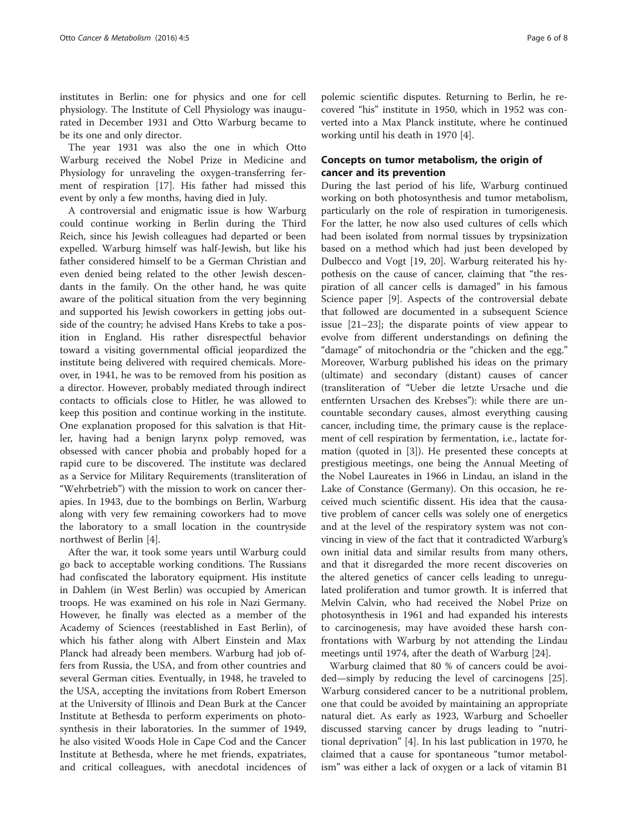institutes in Berlin: one for physics and one for cell physiology. The Institute of Cell Physiology was inaugurated in December 1931 and Otto Warburg became to be its one and only director.

The year 1931 was also the one in which Otto Warburg received the Nobel Prize in Medicine and Physiology for unraveling the oxygen-transferring ferment of respiration [[17](#page-7-0)]. His father had missed this event by only a few months, having died in July.

A controversial and enigmatic issue is how Warburg could continue working in Berlin during the Third Reich, since his Jewish colleagues had departed or been expelled. Warburg himself was half-Jewish, but like his father considered himself to be a German Christian and even denied being related to the other Jewish descendants in the family. On the other hand, he was quite aware of the political situation from the very beginning and supported his Jewish coworkers in getting jobs outside of the country; he advised Hans Krebs to take a position in England. His rather disrespectful behavior toward a visiting governmental official jeopardized the institute being delivered with required chemicals. Moreover, in 1941, he was to be removed from his position as a director. However, probably mediated through indirect contacts to officials close to Hitler, he was allowed to keep this position and continue working in the institute. One explanation proposed for this salvation is that Hitler, having had a benign larynx polyp removed, was obsessed with cancer phobia and probably hoped for a rapid cure to be discovered. The institute was declared as a Service for Military Requirements (transliteration of "Wehrbetrieb") with the mission to work on cancer therapies. In 1943, due to the bombings on Berlin, Warburg along with very few remaining coworkers had to move the laboratory to a small location in the countryside northwest of Berlin [\[4\]](#page-7-0).

After the war, it took some years until Warburg could go back to acceptable working conditions. The Russians had confiscated the laboratory equipment. His institute in Dahlem (in West Berlin) was occupied by American troops. He was examined on his role in Nazi Germany. However, he finally was elected as a member of the Academy of Sciences (reestablished in East Berlin), of which his father along with Albert Einstein and Max Planck had already been members. Warburg had job offers from Russia, the USA, and from other countries and several German cities. Eventually, in 1948, he traveled to the USA, accepting the invitations from Robert Emerson at the University of Illinois and Dean Burk at the Cancer Institute at Bethesda to perform experiments on photosynthesis in their laboratories. In the summer of 1949, he also visited Woods Hole in Cape Cod and the Cancer Institute at Bethesda, where he met friends, expatriates, and critical colleagues, with anecdotal incidences of

polemic scientific disputes. Returning to Berlin, he recovered "his" institute in 1950, which in 1952 was converted into a Max Planck institute, where he continued working until his death in 1970 [[4](#page-7-0)].

# Concepts on tumor metabolism, the origin of cancer and its prevention

During the last period of his life, Warburg continued working on both photosynthesis and tumor metabolism, particularly on the role of respiration in tumorigenesis. For the latter, he now also used cultures of cells which had been isolated from normal tissues by trypsinization based on a method which had just been developed by Dulbecco and Vogt [\[19](#page-7-0), [20\]](#page-7-0). Warburg reiterated his hypothesis on the cause of cancer, claiming that "the respiration of all cancer cells is damaged" in his famous Science paper [\[9](#page-7-0)]. Aspects of the controversial debate that followed are documented in a subsequent Science issue [\[21](#page-7-0)–[23\]](#page-7-0); the disparate points of view appear to evolve from different understandings on defining the "damage" of mitochondria or the "chicken and the egg." Moreover, Warburg published his ideas on the primary (ultimate) and secondary (distant) causes of cancer (transliteration of "Ueber die letzte Ursache und die entfernten Ursachen des Krebses"): while there are uncountable secondary causes, almost everything causing cancer, including time, the primary cause is the replacement of cell respiration by fermentation, i.e., lactate formation (quoted in [[3](#page-7-0)]). He presented these concepts at prestigious meetings, one being the Annual Meeting of the Nobel Laureates in 1966 in Lindau, an island in the Lake of Constance (Germany). On this occasion, he received much scientific dissent. His idea that the causative problem of cancer cells was solely one of energetics and at the level of the respiratory system was not convincing in view of the fact that it contradicted Warburg's own initial data and similar results from many others, and that it disregarded the more recent discoveries on the altered genetics of cancer cells leading to unregulated proliferation and tumor growth. It is inferred that Melvin Calvin, who had received the Nobel Prize on photosynthesis in 1961 and had expanded his interests to carcinogenesis, may have avoided these harsh confrontations with Warburg by not attending the Lindau meetings until 1974, after the death of Warburg [[24](#page-7-0)].

Warburg claimed that 80 % of cancers could be avoided—simply by reducing the level of carcinogens [\[25](#page-7-0)]. Warburg considered cancer to be a nutritional problem, one that could be avoided by maintaining an appropriate natural diet. As early as 1923, Warburg and Schoeller discussed starving cancer by drugs leading to "nutritional deprivation" [\[4\]](#page-7-0). In his last publication in 1970, he claimed that a cause for spontaneous "tumor metabolism" was either a lack of oxygen or a lack of vitamin B1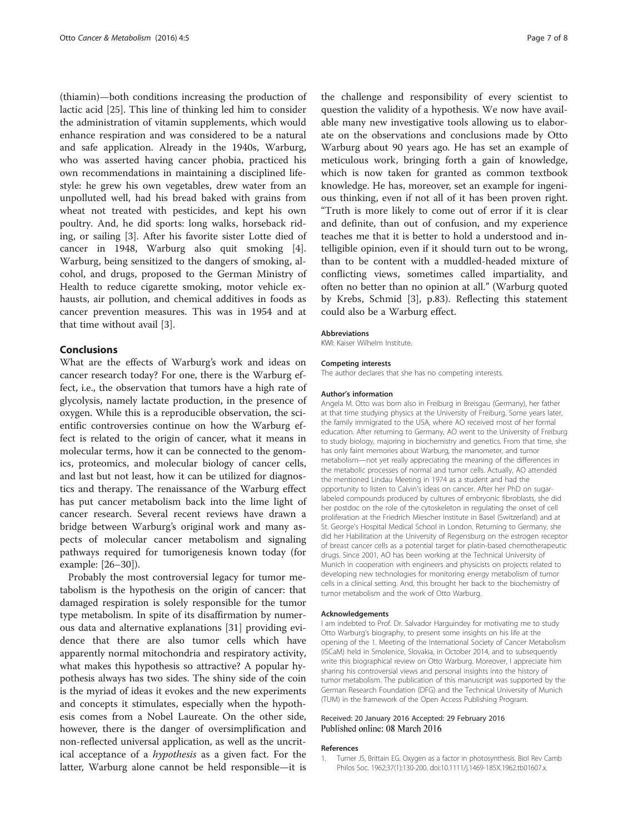<span id="page-6-0"></span>(thiamin)—both conditions increasing the production of lactic acid [\[25\]](#page-7-0). This line of thinking led him to consider the administration of vitamin supplements, which would enhance respiration and was considered to be a natural and safe application. Already in the 1940s, Warburg, who was asserted having cancer phobia, practiced his own recommendations in maintaining a disciplined lifestyle: he grew his own vegetables, drew water from an unpolluted well, had his bread baked with grains from wheat not treated with pesticides, and kept his own poultry. And, he did sports: long walks, horseback riding, or sailing [\[3](#page-7-0)]. After his favorite sister Lotte died of cancer in 1948, Warburg also quit smoking [\[4](#page-7-0)]. Warburg, being sensitized to the dangers of smoking, alcohol, and drugs, proposed to the German Ministry of Health to reduce cigarette smoking, motor vehicle exhausts, air pollution, and chemical additives in foods as cancer prevention measures. This was in 1954 and at that time without avail [[3\]](#page-7-0).

# Conclusions

What are the effects of Warburg's work and ideas on cancer research today? For one, there is the Warburg effect, i.e., the observation that tumors have a high rate of glycolysis, namely lactate production, in the presence of oxygen. While this is a reproducible observation, the scientific controversies continue on how the Warburg effect is related to the origin of cancer, what it means in molecular terms, how it can be connected to the genomics, proteomics, and molecular biology of cancer cells, and last but not least, how it can be utilized for diagnostics and therapy. The renaissance of the Warburg effect has put cancer metabolism back into the lime light of cancer research. Several recent reviews have drawn a bridge between Warburg's original work and many aspects of molecular cancer metabolism and signaling pathways required for tumorigenesis known today (for example: [[26](#page-7-0)–[30](#page-7-0)]).

Probably the most controversial legacy for tumor metabolism is the hypothesis on the origin of cancer: that damaged respiration is solely responsible for the tumor type metabolism. In spite of its disaffirmation by numerous data and alternative explanations [[31\]](#page-7-0) providing evidence that there are also tumor cells which have apparently normal mitochondria and respiratory activity, what makes this hypothesis so attractive? A popular hypothesis always has two sides. The shiny side of the coin is the myriad of ideas it evokes and the new experiments and concepts it stimulates, especially when the hypothesis comes from a Nobel Laureate. On the other side, however, there is the danger of oversimplification and non-reflected universal application, as well as the uncritical acceptance of a hypothesis as a given fact. For the latter, Warburg alone cannot be held responsible—it is the challenge and responsibility of every scientist to question the validity of a hypothesis. We now have available many new investigative tools allowing us to elaborate on the observations and conclusions made by Otto Warburg about 90 years ago. He has set an example of meticulous work, bringing forth a gain of knowledge, which is now taken for granted as common textbook knowledge. He has, moreover, set an example for ingenious thinking, even if not all of it has been proven right. "Truth is more likely to come out of error if it is clear and definite, than out of confusion, and my experience teaches me that it is better to hold a understood and intelligible opinion, even if it should turn out to be wrong, than to be content with a muddled-headed mixture of conflicting views, sometimes called impartiality, and often no better than no opinion at all." (Warburg quoted by Krebs, Schmid [[3\]](#page-7-0), p.83). Reflecting this statement could also be a Warburg effect.

#### Abbreviations

KWI: Kaiser Wilhelm Institute.

#### Competing interests

The author declares that she has no competing interests.

#### Author's information

Angela M. Otto was born also in Freiburg in Breisgau (Germany), her father at that time studying physics at the University of Freiburg. Some years later, the family immigrated to the USA, where AO received most of her formal education. After returning to Germany, AO went to the University of Freiburg to study biology, majoring in biochemistry and genetics. From that time, she has only faint memories about Warburg, the manometer, and tumor metabolism—not yet really appreciating the meaning of the differences in the metabolic processes of normal and tumor cells. Actually, AO attended the mentioned Lindau Meeting in 1974 as a student and had the opportunity to listen to Calvin's ideas on cancer. After her PhD on sugarlabeled compounds produced by cultures of embryonic fibroblasts, she did her postdoc on the role of the cytoskeleton in regulating the onset of cell proliferation at the Friedrich Miescher Institute in Basel (Switzerland) and at St. George's Hospital Medical School in London. Returning to Germany, she did her Habilitation at the University of Regensburg on the estrogen receptor of breast cancer cells as a potential target for platin-based chemotherapeutic drugs. Since 2001, AO has been working at the Technical University of Munich in cooperation with engineers and physicists on projects related to developing new technologies for monitoring energy metabolism of tumor cells in a clinical setting. And, this brought her back to the biochemistry of tumor metabolism and the work of Otto Warburg.

#### Acknowledgements

I am indebted to Prof. Dr. Salvador Harguindey for motivating me to study Otto Warburg's biography, to present some insights on his life at the opening of the 1. Meeting of the International Society of Cancer Metabolism (ISCaM) held in Smolenice, Slovakia, in October 2014, and to subsequently write this biographical review on Otto Warburg. Moreover, I appreciate him sharing his controversial views and personal insights into the history of tumor metabolism. The publication of this manuscript was supported by the German Research Foundation (DFG) and the Technical University of Munich (TUM) in the framework of the Open Access Publishing Program.

#### Received: 20 January 2016 Accepted: 29 February 2016 Published online: 08 March 2016

#### References

1. Turner JS, Brittain EG. Oxygen as a factor in photosynthesis. Biol Rev Camb Philos Soc. 1962;37(1):130-200. doi[:10.1111/j.1469-185X.1962.tb01607.x](http://dx.doi.org/10.1111/j.1469-185X.1962.tb01607.x).